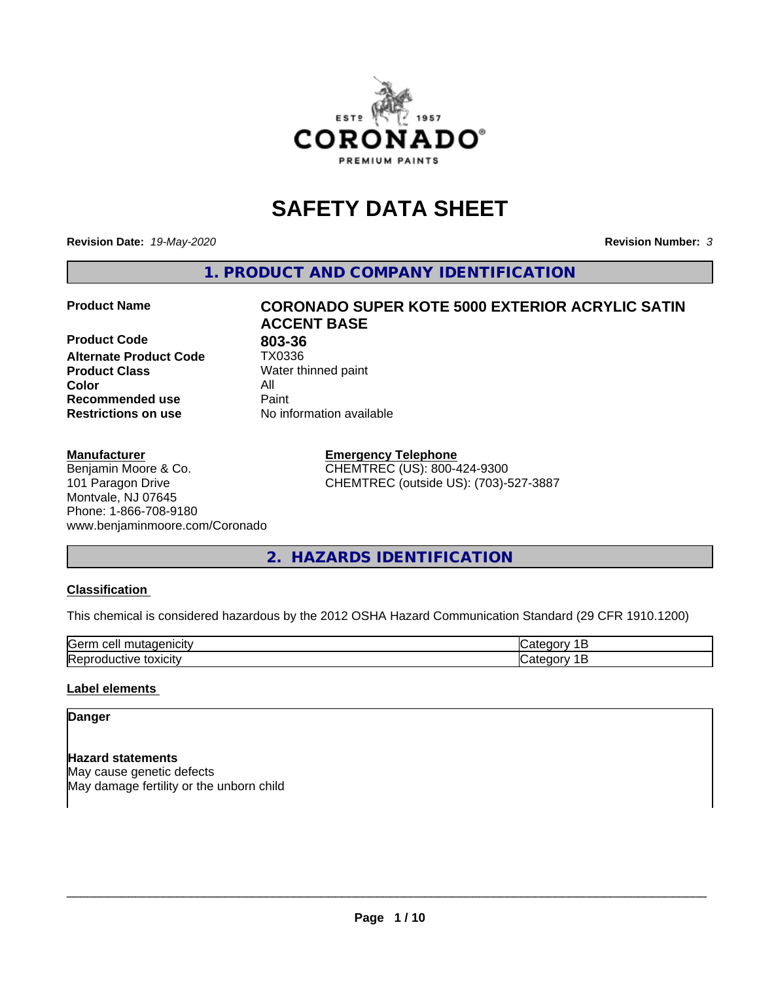

# **SAFETY DATA SHEET**

**Revision Date:** *19-May-2020* **Revision Number:** *3*

**1. PRODUCT AND COMPANY IDENTIFICATION**

**Product Code 803-36**<br>**Alternate Product Code 1X0336 Alternate Product Code Product Class** Water thinned paint<br> **Color** All **Color** All **Recommended use Caint Restrictions on use** No information available

#### **Manufacturer**

Benjamin Moore & Co. 101 Paragon Drive Montvale, NJ 07645 Phone: 1-866-708-9180 www.benjaminmoore.com/Coronado

# **Product Name CORONADO SUPER KOTE 5000 EXTERIOR ACRYLIC SATIN ACCENT BASE**

**Emergency Telephone**

CHEMTREC (US): 800-424-9300 CHEMTREC (outside US): (703)-527-3887

# **2. HAZARDS IDENTIFICATION**

#### **Classification**

This chemical is considered hazardous by the 2012 OSHA Hazard Communication Standard (29 CFR 1910.1200)

| Gerr<br>.                                          |  |
|----------------------------------------------------|--|
| m<br>$\cdots$<br>IR AI<br>ш<br>ш<br><b>JAIGILY</b> |  |

#### **Label elements**

#### **Danger**

**Hazard statements** May cause genetic defects May damage fertility or the unborn child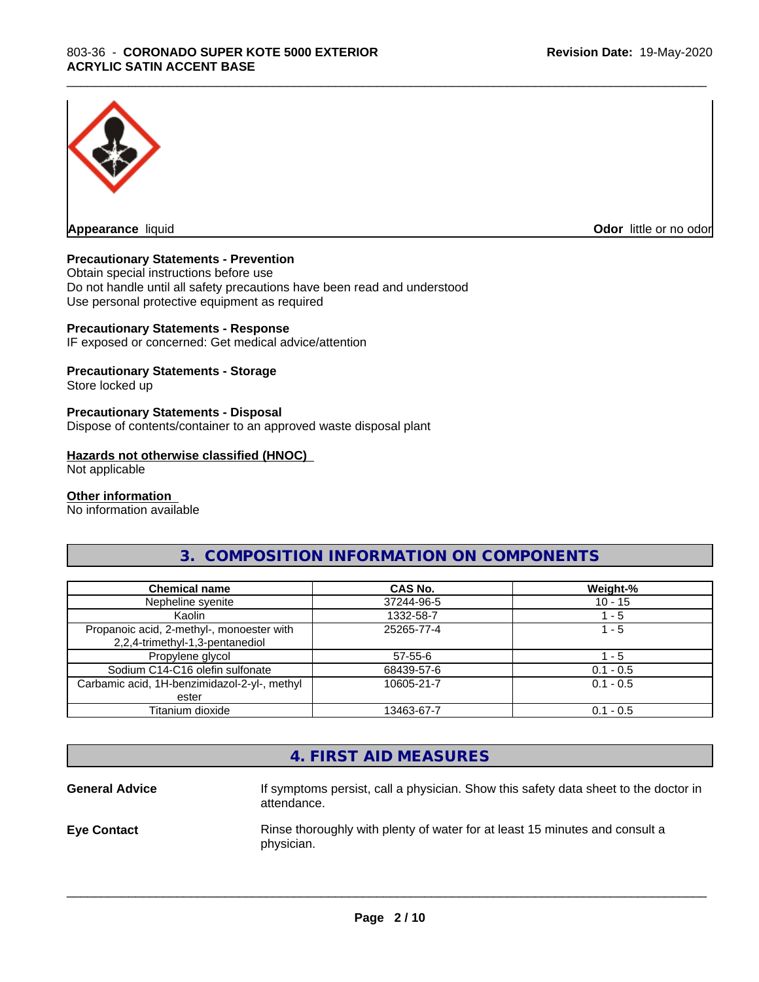

**Appearance** liquid

**Odor** little or no odor

#### **Precautionary Statements - Prevention**

Obtain special instructions before use Do not handle until all safety precautions have been read and understood Use personal protective equipment as required

#### **Precautionary Statements - Response**

IF exposed or concerned: Get medical advice/attention

#### **Precautionary Statements - Storage**

Store locked up

#### **Precautionary Statements - Disposal**

Dispose of contents/container to an approved waste disposal plant

#### **Hazards not otherwise classified (HNOC)**

Not applicable

#### **Other information**

No information available

#### **3. COMPOSITION INFORMATION ON COMPONENTS**

\_\_\_\_\_\_\_\_\_\_\_\_\_\_\_\_\_\_\_\_\_\_\_\_\_\_\_\_\_\_\_\_\_\_\_\_\_\_\_\_\_\_\_\_\_\_\_\_\_\_\_\_\_\_\_\_\_\_\_\_\_\_\_\_\_\_\_\_\_\_\_\_\_\_\_\_\_\_\_\_\_\_\_\_\_\_\_\_\_\_\_\_\_

| <b>Chemical name</b>                                                         | CAS No.    | Weight-%    |
|------------------------------------------------------------------------------|------------|-------------|
| Nepheline syenite                                                            | 37244-96-5 | $10 - 15$   |
| Kaolin                                                                       | 1332-58-7  | - 5         |
| Propanoic acid, 2-methyl-, monoester with<br>2,2,4-trimethyl-1,3-pentanediol | 25265-77-4 | 1 - 5       |
| Propylene glycol                                                             | 57-55-6    | - 5         |
| Sodium C14-C16 olefin sulfonate                                              | 68439-57-6 | $0.1 - 0.5$ |
| Carbamic acid, 1H-benzimidazol-2-yl-, methyl<br>ester                        | 10605-21-7 | $0.1 - 0.5$ |
| Titanium dioxide                                                             | 13463-67-7 | $0.1 - 0.5$ |

#### **4. FIRST AID MEASURES**

**General Advice** If symptoms persist, call a physician. Show this safety data sheet to the doctor in attendance. **Eye Contact Rinse thoroughly with plenty of water for at least 15 minutes and consult a** physician.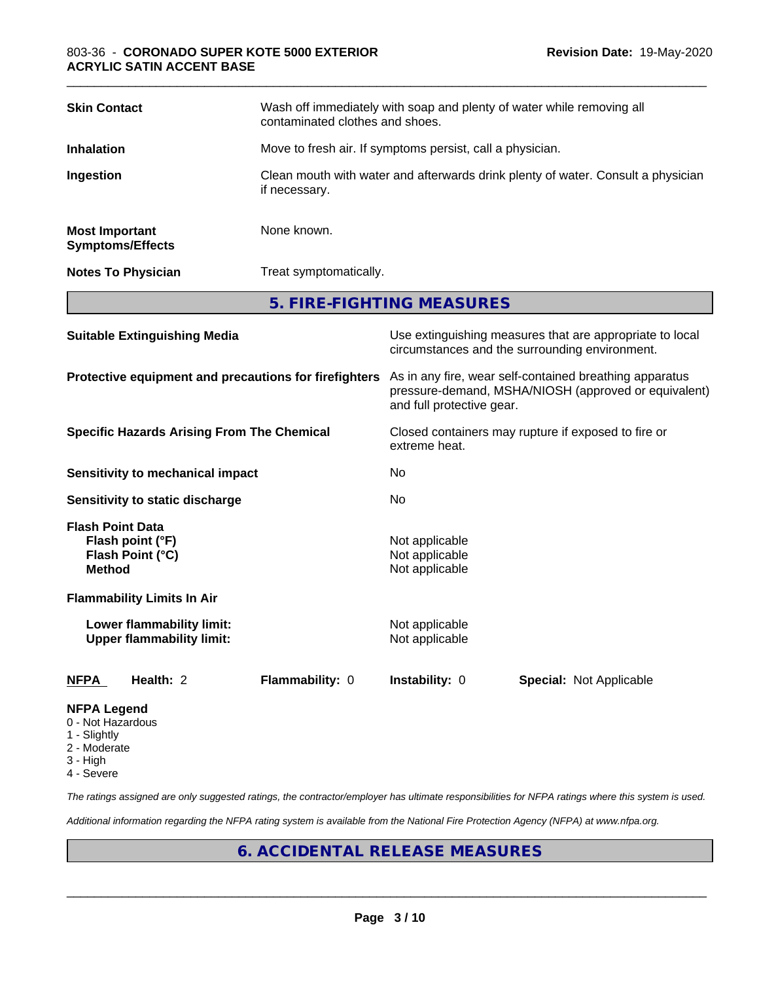| <b>Skin Contact</b>                              | Wash off immediately with soap and plenty of water while removing all<br>contaminated clothes and shoes. |
|--------------------------------------------------|----------------------------------------------------------------------------------------------------------|
| <b>Inhalation</b>                                | Move to fresh air. If symptoms persist, call a physician.                                                |
| Ingestion                                        | Clean mouth with water and afterwards drink plenty of water. Consult a physician<br>if necessary.        |
| <b>Most Important</b><br><b>Symptoms/Effects</b> | None known.                                                                                              |
| <b>Notes To Physician</b>                        | Treat symptomatically.                                                                                   |
|                                                  | 5. FIRE-FIGHTING MEASURES                                                                                |

\_\_\_\_\_\_\_\_\_\_\_\_\_\_\_\_\_\_\_\_\_\_\_\_\_\_\_\_\_\_\_\_\_\_\_\_\_\_\_\_\_\_\_\_\_\_\_\_\_\_\_\_\_\_\_\_\_\_\_\_\_\_\_\_\_\_\_\_\_\_\_\_\_\_\_\_\_\_\_\_\_\_\_\_\_\_\_\_\_\_\_\_\_

| <b>Suitable Extinguishing Media</b>                                              | Use extinguishing measures that are appropriate to local<br>circumstances and the surrounding environment.                                   |  |  |
|----------------------------------------------------------------------------------|----------------------------------------------------------------------------------------------------------------------------------------------|--|--|
| Protective equipment and precautions for firefighters                            | As in any fire, wear self-contained breathing apparatus<br>pressure-demand, MSHA/NIOSH (approved or equivalent)<br>and full protective gear. |  |  |
| <b>Specific Hazards Arising From The Chemical</b>                                | Closed containers may rupture if exposed to fire or<br>extreme heat.                                                                         |  |  |
| Sensitivity to mechanical impact                                                 | No                                                                                                                                           |  |  |
| Sensitivity to static discharge                                                  | No.                                                                                                                                          |  |  |
| <b>Flash Point Data</b><br>Flash point (°F)<br>Flash Point (°C)<br><b>Method</b> | Not applicable<br>Not applicable<br>Not applicable                                                                                           |  |  |
| <b>Flammability Limits In Air</b>                                                |                                                                                                                                              |  |  |
| Lower flammability limit:<br><b>Upper flammability limit:</b>                    | Not applicable<br>Not applicable                                                                                                             |  |  |
| Health: 2<br>Flammability: 0<br><b>NFPA</b>                                      | <b>Instability: 0</b><br><b>Special: Not Applicable</b>                                                                                      |  |  |
| <b>NFPA Legend</b>                                                               |                                                                                                                                              |  |  |

- 0 Not Hazardous
- 1 Slightly
- 2 Moderate
- 3 High
- 4 Severe

*The ratings assigned are only suggested ratings, the contractor/employer has ultimate responsibilities for NFPA ratings where this system is used.*

*Additional information regarding the NFPA rating system is available from the National Fire Protection Agency (NFPA) at www.nfpa.org.*

# **6. ACCIDENTAL RELEASE MEASURES**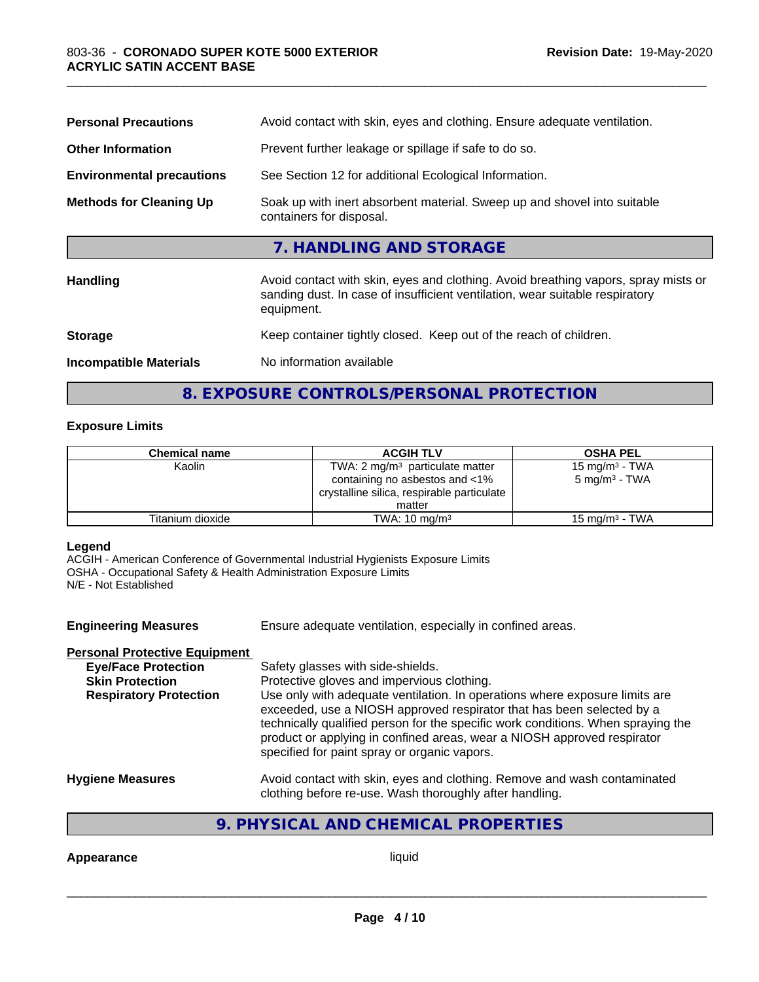| <b>Personal Precautions</b>      | Avoid contact with skin, eyes and clothing. Ensure adequate ventilation.                                                                                                         |
|----------------------------------|----------------------------------------------------------------------------------------------------------------------------------------------------------------------------------|
| <b>Other Information</b>         | Prevent further leakage or spillage if safe to do so.                                                                                                                            |
| <b>Environmental precautions</b> | See Section 12 for additional Ecological Information.                                                                                                                            |
| <b>Methods for Cleaning Up</b>   | Soak up with inert absorbent material. Sweep up and shovel into suitable<br>containers for disposal.                                                                             |
|                                  | 7. HANDLING AND STORAGE                                                                                                                                                          |
| Handling                         | Avoid contact with skin, eyes and clothing. Avoid breathing vapors, spray mists or<br>sanding dust. In case of insufficient ventilation, wear suitable respiratory<br>equipment. |
| <b>Storage</b>                   | Keep container tightly closed. Keep out of the reach of children.                                                                                                                |
| <b>Incompatible Materials</b>    | No information available                                                                                                                                                         |
|                                  |                                                                                                                                                                                  |

## **8. EXPOSURE CONTROLS/PERSONAL PROTECTION**

#### **Exposure Limits**

| <b>Chemical name</b> | <b>ACGIH TLV</b>                                                             | <b>OSHA PEL</b>            |
|----------------------|------------------------------------------------------------------------------|----------------------------|
| Kaolin               | TWA: 2 $mg/m3$ particulate matter                                            | 15 mg/m <sup>3</sup> - TWA |
|                      | containing no asbestos and <1%<br>crystalline silica, respirable particulate | $5 \text{ mg/m}^3$ - TWA   |
|                      | matter                                                                       |                            |
| Titanium dioxide     | TWA: $10 \text{ mg/m}^3$                                                     | 15 mg/m $3$ - TWA          |

#### **Legend**

ACGIH - American Conference of Governmental Industrial Hygienists Exposure Limits OSHA - Occupational Safety & Health Administration Exposure Limits N/E - Not Established

**Engineering Measures** Ensure adequate ventilation, especially in confined areas. **Personal Protective Equipment**<br> **Eye/Face Protection** Safety glasses with side-shields. **Skin Protection** Protective gloves and impervious clothing.<br> **Respiratory Protection** Use only with adequate ventilation. In oper Use only with adequate ventilation. In operations where exposure limits are exceeded, use a NIOSH approved respirator that has been selected by a technically qualified person for the specific work conditions. When spraying the product or applying in confined areas, wear a NIOSH approved respirator specified for paint spray or organic vapors. **Hygiene Measures** Avoid contact with skin, eyes and clothing. Remove and wash contaminated clothing before re-use. Wash thoroughly after handling.

#### **9. PHYSICAL AND CHEMICAL PROPERTIES**

**Appearance** liquid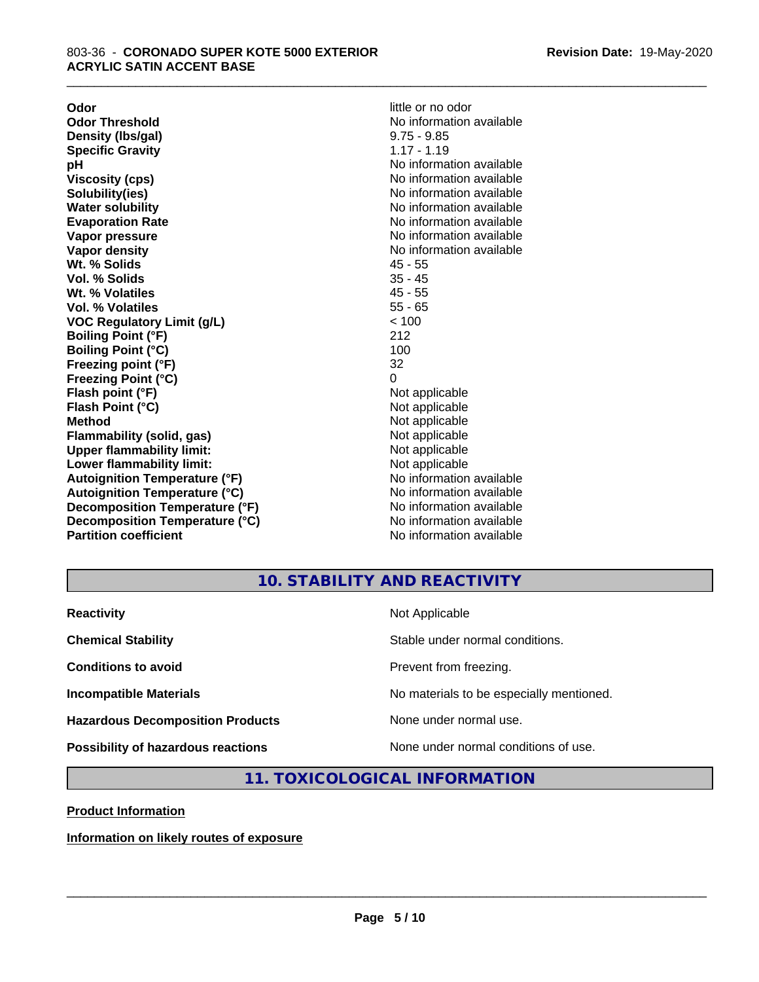**Odor Odor** little or no odor<br> **Odor Threshold Containery of the Containery of the Containery of the Containery of the Containery of the Contain Density (Ibs/gal)** 9.75 - 9.85<br> **Specific Gravity** 1.17 - 1.19 **Specific Gravity pH** No information available **Viscosity (cps)** No information available **Solubility(ies)** No information available **Evaporation Rate No information available No information available Vapor pressure** No information available in the North Mondon available in the North Mondon available in the North Mondon available in the North Mondon available in the North Mondon available in the North Mondon available **Vapor density No information available No** information available **Wt. % Solids** 45 - 55 **Vol. % Solids** 35 - 45<br> **Wt. % Volatiles** 35 - 45 **Wt. % Volatiles Vol. % Volatiles** 55 - 65 **VOC Regulatory Limit (g/L)** < 100 **Boiling Point (°F)** 212 **Boiling Point (°C)** 100 **Freezing point (°F)** 32 **Freezing Point (°C)** 0 **Flash point (°F)** Not applicable **Flash Point (°C)** Not applicable **Method**<br> **Flammability (solid, gas)**<br> **Example 2018** Not applicable **Flammability (solid, gas)**<br> **Commability limit:**<br>
Upper flammability limit:<br>
Not applicable **Upper flammability limit:**<br> **Lower flammability limit:**<br>
Not applicable<br>
Not applicable **Lower flammability limit:**<br> **Autoignition Temperature (°F)** Not applicable havailable **Autoignition Temperature (°F)**<br> **Autoignition Temperature (°C)** No information available **Autoignition Temperature (°C) Decomposition Temperature (°F)** No information available **Decomposition Temperature (°C)** No information available **Partition coefficient Contract Community No information available** 

No information available<br>9.75 - 9.85 **No information available** 

\_\_\_\_\_\_\_\_\_\_\_\_\_\_\_\_\_\_\_\_\_\_\_\_\_\_\_\_\_\_\_\_\_\_\_\_\_\_\_\_\_\_\_\_\_\_\_\_\_\_\_\_\_\_\_\_\_\_\_\_\_\_\_\_\_\_\_\_\_\_\_\_\_\_\_\_\_\_\_\_\_\_\_\_\_\_\_\_\_\_\_\_\_

## **10. STABILITY AND REACTIVITY**

| <b>Reactivity</b>                         | Not Applicable                           |
|-------------------------------------------|------------------------------------------|
| <b>Chemical Stability</b>                 | Stable under normal conditions.          |
| <b>Conditions to avoid</b>                | Prevent from freezing.                   |
| <b>Incompatible Materials</b>             | No materials to be especially mentioned. |
| <b>Hazardous Decomposition Products</b>   | None under normal use.                   |
| <b>Possibility of hazardous reactions</b> | None under normal conditions of use.     |

#### **11. TOXICOLOGICAL INFORMATION**

**Product Information**

**Information on likely routes of exposure**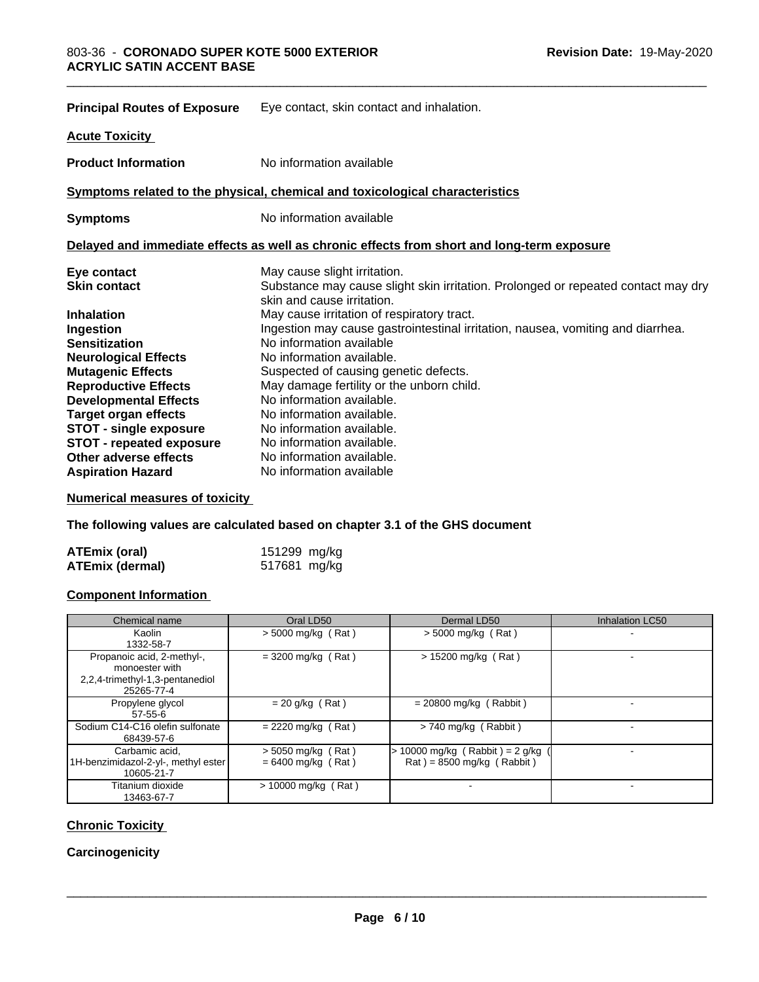| <b>Principal Routes of Exposure</b> | Eye contact, skin contact and inhalation.                                                                       |
|-------------------------------------|-----------------------------------------------------------------------------------------------------------------|
| <b>Acute Toxicity</b>               |                                                                                                                 |
| <b>Product Information</b>          | No information available                                                                                        |
|                                     | Symptoms related to the physical, chemical and toxicological characteristics                                    |
| <b>Symptoms</b>                     | No information available                                                                                        |
|                                     | Delayed and immediate effects as well as chronic effects from short and long-term exposure                      |
| Eye contact                         | May cause slight irritation.                                                                                    |
| <b>Skin contact</b>                 | Substance may cause slight skin irritation. Prolonged or repeated contact may dry<br>skin and cause irritation. |
| <b>Inhalation</b>                   | May cause irritation of respiratory tract.                                                                      |
| Ingestion                           | Ingestion may cause gastrointestinal irritation, nausea, vomiting and diarrhea.                                 |
| <b>Sensitization</b>                | No information available                                                                                        |
| <b>Neurological Effects</b>         | No information available.                                                                                       |
| <b>Mutagenic Effects</b>            | Suspected of causing genetic defects.                                                                           |
| <b>Reproductive Effects</b>         | May damage fertility or the unborn child.                                                                       |
| <b>Developmental Effects</b>        | No information available.                                                                                       |
| <b>Target organ effects</b>         | No information available.                                                                                       |
| <b>STOT - single exposure</b>       | No information available.                                                                                       |
| <b>STOT - repeated exposure</b>     | No information available.                                                                                       |
| Other adverse effects               | No information available.                                                                                       |
| <b>Aspiration Hazard</b>            | No information available                                                                                        |

\_\_\_\_\_\_\_\_\_\_\_\_\_\_\_\_\_\_\_\_\_\_\_\_\_\_\_\_\_\_\_\_\_\_\_\_\_\_\_\_\_\_\_\_\_\_\_\_\_\_\_\_\_\_\_\_\_\_\_\_\_\_\_\_\_\_\_\_\_\_\_\_\_\_\_\_\_\_\_\_\_\_\_\_\_\_\_\_\_\_\_\_\_

**Numerical measures of toxicity**

**The following values are calculated based on chapter 3.1 of the GHS document**

| <b>ATEmix (oral)</b> | 151299 mg/kg |  |
|----------------------|--------------|--|
| ATEmix (dermal)      | 517681 mg/kg |  |

#### **Component Information**

| Chemical name                                                                                 | Oral LD50                                    | Dermal LD50                                                    | <b>Inhalation LC50</b> |
|-----------------------------------------------------------------------------------------------|----------------------------------------------|----------------------------------------------------------------|------------------------|
| Kaolin<br>1332-58-7                                                                           | $>$ 5000 mg/kg (Rat)                         | $>$ 5000 mg/kg (Rat)                                           |                        |
| Propanoic acid, 2-methyl-,<br>monoester with<br>2,2,4-trimethyl-1,3-pentanediol<br>25265-77-4 | $=$ 3200 mg/kg (Rat)                         | $> 15200$ mg/kg (Rat)                                          |                        |
| Propylene glycol<br>$57 - 55 - 6$                                                             | $= 20$ g/kg (Rat)                            | $= 20800$ mg/kg (Rabbit)                                       |                        |
| Sodium C14-C16 olefin sulfonate<br>68439-57-6                                                 | $= 2220$ mg/kg (Rat)                         | $> 740$ mg/kg (Rabbit)                                         |                        |
| Carbamic acid,<br>1H-benzimidazol-2-yl-, methyl ester<br>10605-21-7                           | $>$ 5050 mg/kg (Rat)<br>$= 6400$ mg/kg (Rat) | 10000 mg/kg $(Rabbit) = 2 g/kg$<br>$Rat$ = 8500 mg/kg (Rabbit) |                        |
| Titanium dioxide<br>13463-67-7                                                                | $> 10000$ mg/kg (Rat)                        |                                                                |                        |

#### **Chronic Toxicity**

**Carcinogenicity**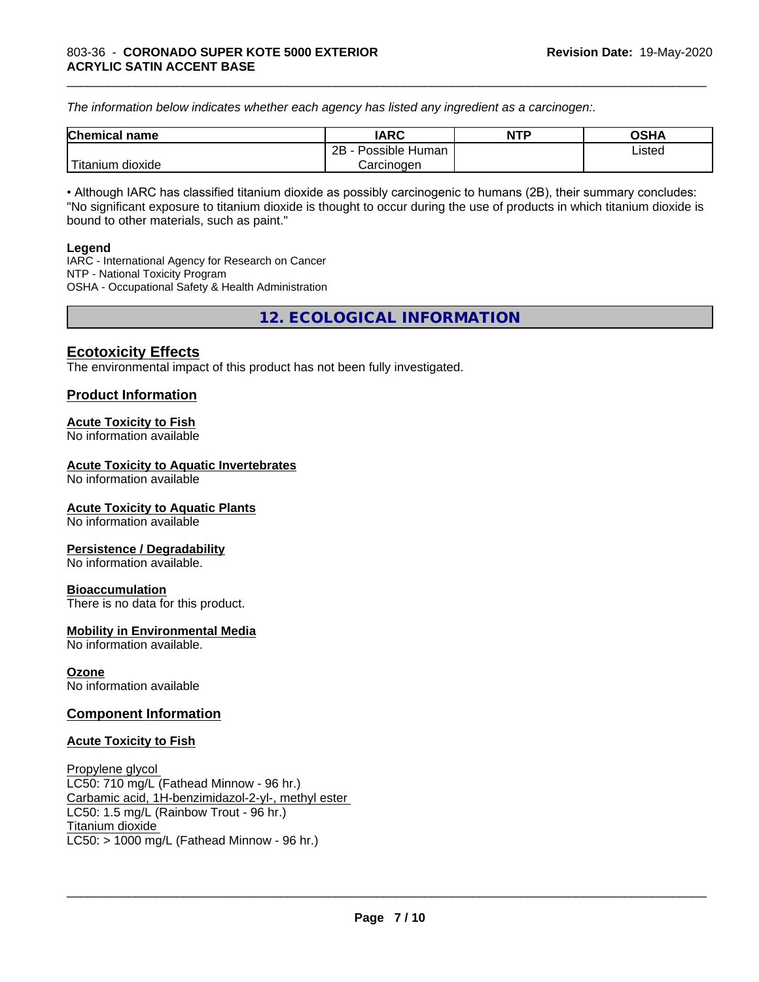*The information below indicateswhether each agency has listed any ingredient as a carcinogen:.*

| <b>Chemical</b><br>name  | <b>IARC</b>                    | <b>NTP</b> | <b>OSHA</b> |
|--------------------------|--------------------------------|------------|-------------|
|                          | . .<br>2B<br>Possible<br>Human |            | Listed<br>. |
| .<br>dioxide<br>⊺itanium | Carcinogen                     |            |             |

\_\_\_\_\_\_\_\_\_\_\_\_\_\_\_\_\_\_\_\_\_\_\_\_\_\_\_\_\_\_\_\_\_\_\_\_\_\_\_\_\_\_\_\_\_\_\_\_\_\_\_\_\_\_\_\_\_\_\_\_\_\_\_\_\_\_\_\_\_\_\_\_\_\_\_\_\_\_\_\_\_\_\_\_\_\_\_\_\_\_\_\_\_

• Although IARC has classified titanium dioxide as possibly carcinogenic to humans (2B), their summary concludes: "No significant exposure to titanium dioxide is thought to occur during the use of products in which titanium dioxide is bound to other materials, such as paint."

#### **Legend**

IARC - International Agency for Research on Cancer NTP - National Toxicity Program OSHA - Occupational Safety & Health Administration

**12. ECOLOGICAL INFORMATION**

#### **Ecotoxicity Effects**

The environmental impact of this product has not been fully investigated.

#### **Product Information**

#### **Acute Toxicity to Fish**

No information available

#### **Acute Toxicity to Aquatic Invertebrates**

No information available

#### **Acute Toxicity to Aquatic Plants**

No information available

#### **Persistence / Degradability**

No information available.

#### **Bioaccumulation**

There is no data for this product.

#### **Mobility in Environmental Media**

No information available.

#### **Ozone**

No information available

#### **Component Information**

#### **Acute Toxicity to Fish**

Propylene glycol LC50: 710 mg/L (Fathead Minnow - 96 hr.) Carbamic acid, 1H-benzimidazol-2-yl-, methyl ester LC50: 1.5 mg/L (Rainbow Trout - 96 hr.) Titanium dioxide  $LC50:$  > 1000 mg/L (Fathead Minnow - 96 hr.)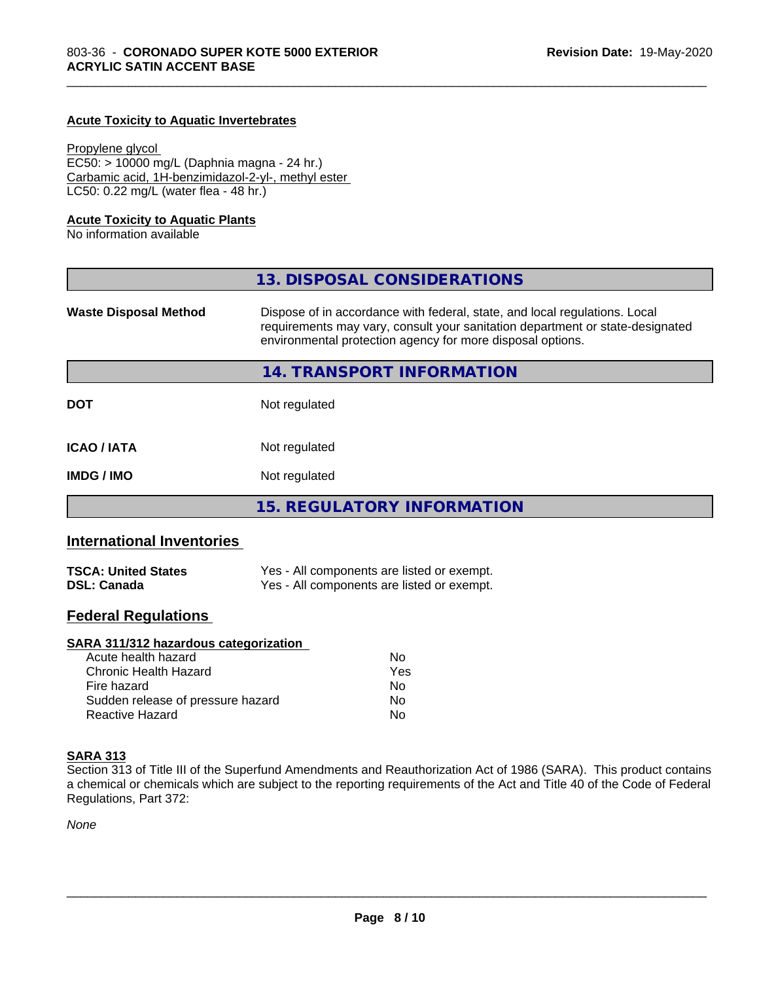#### **Acute Toxicity to Aquatic Invertebrates**

Propylene glycol EC50: > 10000 mg/L (Daphnia magna - 24 hr.) Carbamic acid, 1H-benzimidazol-2-yl-, methyl ester LC50: 0.22 mg/L (water flea - 48 hr.)

#### **Acute Toxicity to Aquatic Plants**

No information available

|                              | 13. DISPOSAL CONSIDERATIONS                                                                                                                                                                                               |
|------------------------------|---------------------------------------------------------------------------------------------------------------------------------------------------------------------------------------------------------------------------|
| <b>Waste Disposal Method</b> | Dispose of in accordance with federal, state, and local regulations. Local<br>requirements may vary, consult your sanitation department or state-designated<br>environmental protection agency for more disposal options. |
|                              | 14. TRANSPORT INFORMATION                                                                                                                                                                                                 |
| <b>DOT</b>                   | Not regulated                                                                                                                                                                                                             |
| <b>ICAO/IATA</b>             | Not regulated                                                                                                                                                                                                             |
| <b>IMDG / IMO</b>            | Not regulated                                                                                                                                                                                                             |
|                              | <b>15. REGULATORY INFORMATION</b>                                                                                                                                                                                         |

\_\_\_\_\_\_\_\_\_\_\_\_\_\_\_\_\_\_\_\_\_\_\_\_\_\_\_\_\_\_\_\_\_\_\_\_\_\_\_\_\_\_\_\_\_\_\_\_\_\_\_\_\_\_\_\_\_\_\_\_\_\_\_\_\_\_\_\_\_\_\_\_\_\_\_\_\_\_\_\_\_\_\_\_\_\_\_\_\_\_\_\_\_

#### **International Inventories**

| <b>TSCA: United States</b> | Yes - All components are listed or exempt. |
|----------------------------|--------------------------------------------|
| <b>DSL: Canada</b>         | Yes - All components are listed or exempt. |

#### **Federal Regulations**

#### **SARA 311/312 hazardous categorization**

| Acute health hazard               | Nο  |
|-----------------------------------|-----|
| Chronic Health Hazard             | Yes |
| Fire hazard                       | N٥  |
| Sudden release of pressure hazard | Nο  |
| Reactive Hazard                   | N٥  |

#### **SARA 313**

Section 313 of Title III of the Superfund Amendments and Reauthorization Act of 1986 (SARA). This product contains a chemical or chemicals which are subject to the reporting requirements of the Act and Title 40 of the Code of Federal Regulations, Part 372:

*None*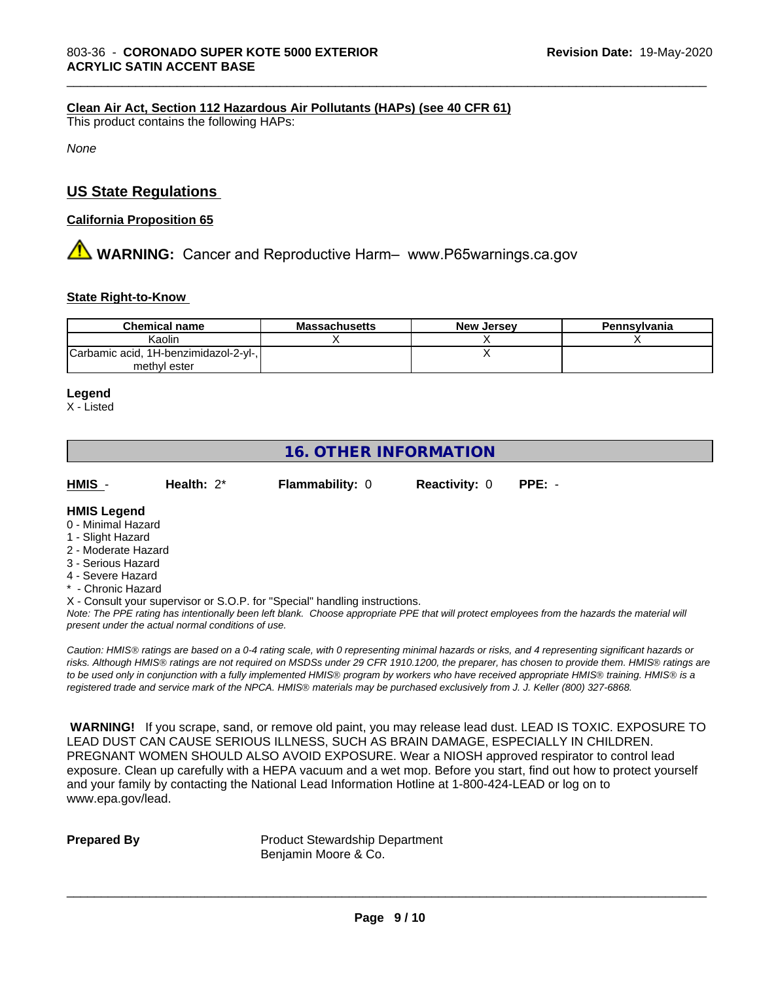#### **Clean Air Act,Section 112 Hazardous Air Pollutants (HAPs) (see 40 CFR 61)**

This product contains the following HAPs:

*None*

#### **US State Regulations**

#### **California Proposition 65**

# **AVIMARNING:** Cancer and Reproductive Harm– www.P65warnings.ca.gov

#### **State Right-to-Know**

| <b>Chemical name</b>                  | <b>Massachusetts</b> | <b>New Jersey</b> | Pennsylvania |
|---------------------------------------|----------------------|-------------------|--------------|
| Kaolin                                |                      |                   |              |
| Carbamic acid, 1H-benzimidazol-2-yl-, |                      |                   |              |
| methyl ester                          |                      |                   |              |

\_\_\_\_\_\_\_\_\_\_\_\_\_\_\_\_\_\_\_\_\_\_\_\_\_\_\_\_\_\_\_\_\_\_\_\_\_\_\_\_\_\_\_\_\_\_\_\_\_\_\_\_\_\_\_\_\_\_\_\_\_\_\_\_\_\_\_\_\_\_\_\_\_\_\_\_\_\_\_\_\_\_\_\_\_\_\_\_\_\_\_\_\_

#### **Legend**

X - Listed

## **16. OTHER INFORMATION**

| HMIS | Health: $2^*$ | <b>Flammability: 0</b> | <b>Reactivity: 0</b> | PPE: - |
|------|---------------|------------------------|----------------------|--------|
|      |               |                        |                      |        |

#### **HMIS Legend**

- 0 Minimal Hazard
- 1 Slight Hazard
- 2 Moderate Hazard
- 3 Serious Hazard
- 4 Severe Hazard
- **Chronic Hazard**
- X Consult your supervisor or S.O.P. for "Special" handling instructions.

*Note: The PPE rating has intentionally been left blank. Choose appropriate PPE that will protect employees from the hazards the material will present under the actual normal conditions of use.*

*Caution: HMISÒ ratings are based on a 0-4 rating scale, with 0 representing minimal hazards or risks, and 4 representing significant hazards or risks. Although HMISÒ ratings are not required on MSDSs under 29 CFR 1910.1200, the preparer, has chosen to provide them. HMISÒ ratings are to be used only in conjunction with a fully implemented HMISÒ program by workers who have received appropriate HMISÒ training. HMISÒ is a registered trade and service mark of the NPCA. HMISÒ materials may be purchased exclusively from J. J. Keller (800) 327-6868.*

 **WARNING!** If you scrape, sand, or remove old paint, you may release lead dust. LEAD IS TOXIC. EXPOSURE TO LEAD DUST CAN CAUSE SERIOUS ILLNESS, SUCH AS BRAIN DAMAGE, ESPECIALLY IN CHILDREN. PREGNANT WOMEN SHOULD ALSO AVOID EXPOSURE.Wear a NIOSH approved respirator to control lead exposure. Clean up carefully with a HEPA vacuum and a wet mop. Before you start, find out how to protect yourself and your family by contacting the National Lead Information Hotline at 1-800-424-LEAD or log on to www.epa.gov/lead.

**Prepared By** Product Stewardship Department Benjamin Moore & Co.